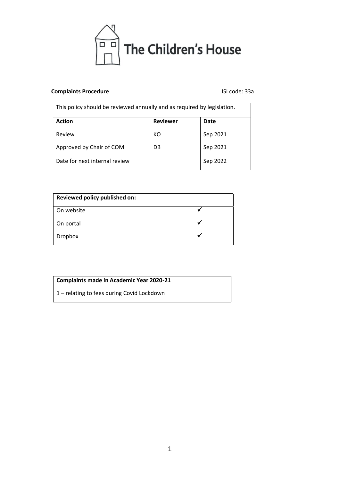

# **Complaints Procedure Complaints Procedure ISI** code: 33a

| This policy should be reviewed annually and as required by legislation. |                 |          |
|-------------------------------------------------------------------------|-----------------|----------|
| <b>Action</b>                                                           | <b>Reviewer</b> | Date     |
| Review                                                                  | KО              | Sep 2021 |
| Approved by Chair of COM                                                | DB              | Sep 2021 |
| Date for next internal review                                           |                 | Sep 2022 |

| Reviewed policy published on: |  |
|-------------------------------|--|
| On website                    |  |
| On portal                     |  |
| Dropbox                       |  |

# **Complaints made in Academic Year 2020-21**

1 – relating to fees during Covid Lockdown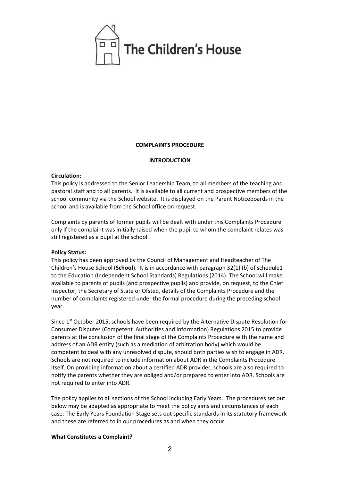

#### **COMPLAINTS PROCEDURE**

#### **INTRODUCTION**

## **Circulation:**

This policy is addressed to the Senior Leadership Team, to all members of the teaching and pastoral staff and to all parents. It is available to all current and prospective members of the school community via the School website. It is displayed on the Parent Noticeboards in the school and is available from the School office on request.

Complaints by parents of former pupils will be dealt with under this Complaints Procedure only if the complaint was initially raised when the pupil to whom the complaint relates was still registered as a pupil at the school.

### **Policy Status:**

This policy has been approved by the Council of Management and Headteacher of The Children's House School (**School**). It is in accordance with paragraph 32(1) (b) of schedule1 to the Education (Independent School Standards) Regulations (2014). The School will make available to parents of pupils (and prospective pupils) and provide, on request, to the Chief Inspector, the Secretary of State or Ofsted, details of the Complaints Procedure and the number of complaints registered under the formal procedure during the preceding school year.

Since 1<sup>st</sup> October 2015, schools have been required by the Alternative Dispute Resolution for Consumer Disputes (Competent Authorities and Information) Regulations 2015 to provide parents at the conclusion of the final stage of the Complaints Procedure with the name and address of an ADR entity (such as a mediation of arbitration body) which would be competent to deal with any unresolved dispute, should both parties wish to engage in ADR. Schools are not required to include information about ADR in the Complaints Procedure itself. On providing information about a certified ADR provider, schools are also required to notify the parents whether they are obliged and/or prepared to enter into ADR. Schools are not required to enter into ADR.

The policy applies to all sections of the School including Early Years. The procedures set out below may be adapted as appropriate to meet the policy aims and circumstances of each case. The Early Years Foundation Stage sets out specific standards in its statutory framework and these are referred to in our procedures as and when they occur.

### **What Constitutes a Complaint?**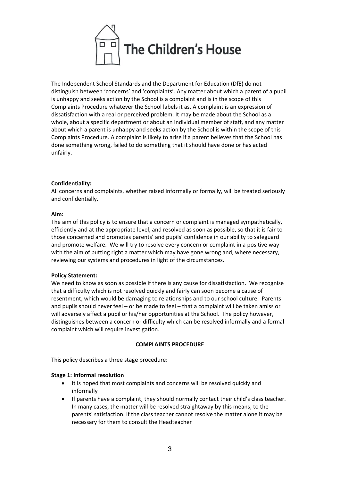

The Independent School Standards and the Department for Education (DfE) do not distinguish between 'concerns' and 'complaints'. Any matter about which a parent of a pupil is unhappy and seeks action by the School is a complaint and is in the scope of this Complaints Procedure whatever the School labels it as. A complaint is an expression of dissatisfaction with a real or perceived problem. It may be made about the School as a whole, about a specific department or about an individual member of staff, and any matter about which a parent is unhappy and seeks action by the School is within the scope of this Complaints Procedure. A complaint is likely to arise if a parent believes that the School has done something wrong, failed to do something that it should have done or has acted unfairly.

## **Confidentiality:**

All concerns and complaints, whether raised informally or formally, will be treated seriously and confidentially.

#### **Aim:**

The aim of this policy is to ensure that a concern or complaint is managed sympathetically, efficiently and at the appropriate level, and resolved as soon as possible, so that it is fair to those concerned and promotes parents' and pupils' confidence in our ability to safeguard and promote welfare. We will try to resolve every concern or complaint in a positive way with the aim of putting right a matter which may have gone wrong and, where necessary, reviewing our systems and procedures in light of the circumstances.

### **Policy Statement:**

We need to know as soon as possible if there is any cause for dissatisfaction. We recognise that a difficulty which is not resolved quickly and fairly can soon become a cause of resentment, which would be damaging to relationships and to our school culture. Parents and pupils should never feel – or be made to feel – that a complaint will be taken amiss or will adversely affect a pupil or his/her opportunities at the School. The policy however, distinguishes between a concern or difficulty which can be resolved informally and a formal complaint which will require investigation.

#### **COMPLAINTS PROCEDURE**

This policy describes a three stage procedure:

### **Stage 1: Informal resolution**

- It is hoped that most complaints and concerns will be resolved quickly and informally
- If parents have a complaint, they should normally contact their child's class teacher. In many cases, the matter will be resolved straightaway by this means, to the parents' satisfaction. If the class teacher cannot resolve the matter alone it may be necessary for them to consult the Headteacher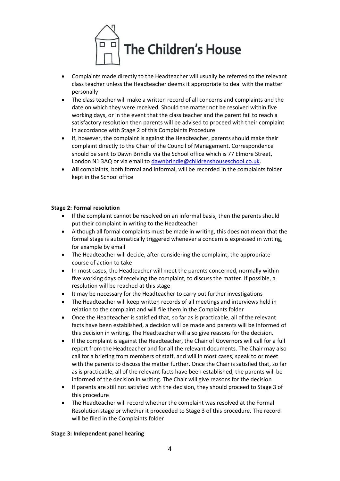

- Complaints made directly to the Headteacher will usually be referred to the relevant class teacher unless the Headteacher deems it appropriate to deal with the matter personally
- The class teacher will make a written record of all concerns and complaints and the date on which they were received. Should the matter not be resolved within five working days, or in the event that the class teacher and the parent fail to reach a satisfactory resolution then parents will be advised to proceed with their complaint in accordance with Stage 2 of this Complaints Procedure
- If, however, the complaint is against the Headteacher, parents should make their complaint directly to the Chair of the Council of Management. Correspondence should be sent to Dawn Brindle via the School office which is 77 Elmore Street, London N1 3AQ or via email to [dawnbrindle@childrenshouseschool.co.uk.](mailto:dawnbrindle@childrenshouseschool.co.uk)
- **All** complaints, both formal and informal, will be recorded in the complaints folder kept in the School office

## **Stage 2: Formal resolution**

- If the complaint cannot be resolved on an informal basis, then the parents should put their complaint in writing to the Headteacher
- Although all formal complaints must be made in writing, this does not mean that the formal stage is automatically triggered whenever a concern is expressed in writing, for example by email
- The Headteacher will decide, after considering the complaint, the appropriate course of action to take
- In most cases, the Headteacher will meet the parents concerned, normally within five working days of receiving the complaint, to discuss the matter. If possible, a resolution will be reached at this stage
- It may be necessary for the Headteacher to carry out further investigations
- The Headteacher will keep written records of all meetings and interviews held in relation to the complaint and will file them in the Complaints folder
- Once the Headteacher is satisfied that, so far as is practicable, all of the relevant facts have been established, a decision will be made and parents will be informed of this decision in writing. The Headteacher will also give reasons for the decision.
- If the complaint is against the Headteacher, the Chair of Governors will call for a full report from the Headteacher and for all the relevant documents. The Chair may also call for a briefing from members of staff, and will in most cases, speak to or meet with the parents to discuss the matter further. Once the Chair is satisfied that, so far as is practicable, all of the relevant facts have been established, the parents will be informed of the decision in writing. The Chair will give reasons for the decision
- If parents are still not satisfied with the decision, they should proceed to Stage 3 of this procedure
- The Headteacher will record whether the complaint was resolved at the Formal Resolution stage or whether it proceeded to Stage 3 of this procedure. The record will be filed in the Complaints folder

### **Stage 3: Independent panel hearing**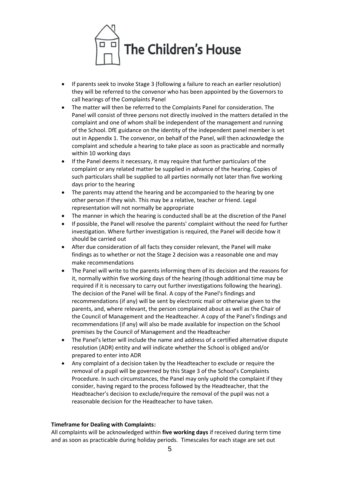

- If parents seek to invoke Stage 3 (following a failure to reach an earlier resolution) they will be referred to the convenor who has been appointed by the Governors to call hearings of the Complaints Panel
- The matter will then be referred to the Complaints Panel for consideration. The Panel will consist of three persons not directly involved in the matters detailed in the complaint and one of whom shall be independent of the management and running of the School. DfE guidance on the identity of the independent panel member is set out in Appendix 1. The convenor, on behalf of the Panel, will then acknowledge the complaint and schedule a hearing to take place as soon as practicable and normally within 10 working days
- If the Panel deems it necessary, it may require that further particulars of the complaint or any related matter be supplied in advance of the hearing. Copies of such particulars shall be supplied to all parties normally not later than five working days prior to the hearing
- The parents may attend the hearing and be accompanied to the hearing by one other person if they wish. This may be a relative, teacher or friend. Legal representation will not normally be appropriate
- The manner in which the hearing is conducted shall be at the discretion of the Panel
- If possible, the Panel will resolve the parents' complaint without the need for further investigation. Where further investigation is required, the Panel will decide how it should be carried out
- After due consideration of all facts they consider relevant, the Panel will make findings as to whether or not the Stage 2 decision was a reasonable one and may make recommendations
- The Panel will write to the parents informing them of its decision and the reasons for it, normally within five working days of the hearing (though additional time may be required if it is necessary to carry out further investigations following the hearing). The decision of the Panel will be final. A copy of the Panel's findings and recommendations (if any) will be sent by electronic mail or otherwise given to the parents, and, where relevant, the person complained about as well as the Chair of the Council of Management and the Headteacher. A copy of the Panel's findings and recommendations (if any) will also be made available for inspection on the School premises by the Council of Management and the Headteacher
- The Panel's letter will include the name and address of a certified alternative dispute resolution (ADR) entity and will indicate whether the School is obliged and/or prepared to enter into ADR
- Any complaint of a decision taken by the Headteacher to exclude or require the removal of a pupil will be governed by this Stage 3 of the School's Complaints Procedure. In such circumstances, the Panel may only uphold the complaint if they consider, having regard to the process followed by the Headteacher, that the Headteacher's decision to exclude/require the removal of the pupil was not a reasonable decision for the Headteacher to have taken.

# **Timeframe for Dealing with Complaints:**

All complaints will be acknowledged within **five working days** if received during term time and as soon as practicable during holiday periods. Timescales for each stage are set out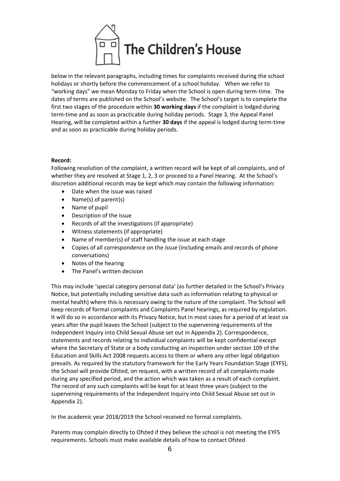

below in the relevant paragraphs, including times for complaints received during the school holidays or shortly before the commencement of a school holiday. When we refer to "working days" we mean Monday to Friday when the School is open during term-time. The dates of terms are published on the School's website. The School's target is to complete the first two stages of the procedure within **30 working days** if the complaint is lodged during term-time and as soon as practicable during holiday periods. Stage 3, the Appeal Panel Hearing, will be completed within a further **30 days** if the appeal is lodged during term-time and as soon as practicable during holiday periods.

## **Record:**

Following resolution of the complaint, a written record will be kept of all complaints, and of whether they are resolved at Stage 1, 2, 3 or proceed to a Panel Hearing. At the School's discretion additional records may be kept which may contain the following information:

- Date when the issue was raised
- Name(s) of parent(s)
- Name of pupil
- Description of the issue
- Records of all the investigations (if appropriate)
- Witness statements (if appropriate)
- Name of member(s) of staff handling the issue at each stage
- Copies of all correspondence on the issue (including emails and records of phone conversations)
- Notes of the hearing
- The Panel's written decision

This may include 'special category personal data' (as further detailed in the School's Privacy Notice, but potentially including sensitive data such as information relating to physical or mental health) where this is necessary owing to the nature of the complaint. The School will keep records of formal complaints and Complaints Panel hearings, as required by regulation. It will do so in accordance with its Privacy Notice, but in most cases for a period of at least six years after the pupil leaves the School (subject to the supervening requirements of the Independent Inquiry into Child Sexual Abuse set out in Appendix 2). Correspondence, statements and records relating to individual complaints will be kept confidential except where the Secretary of State or a body conducting an inspection under section 109 of the Education and Skills Act 2008 requests access to them or where any other legal obligation prevails. As required by the statutory framework for the Early Years Foundation Stage (EYFS), the School will provide Ofsted, on request, with a written record of all complaints made during any specified period, and the action which was taken as a result of each complaint. The record of any such complaints will be kept for at least three years (subject to the supervening requirements of the Independent Inquiry into Child Sexual Abuse set out in Appendix 2).

In the academic year 2018/2019 the School received no formal complaints.

Parents may complain directly to Ofsted if they believe the school is not meeting the EYFS requirements. Schools must make available details of how to contact Ofsted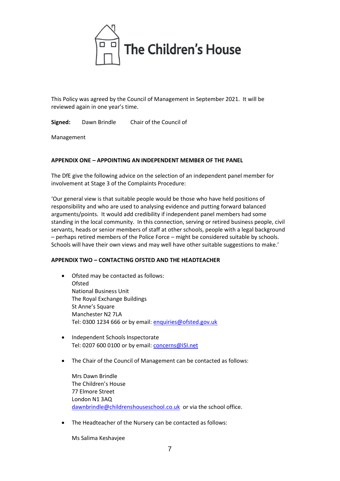

This Policy was agreed by the Council of Management in September 2021. It will be reviewed again in one year's time.

**Signed:** Dawn Brindle Chair of the Council of

Management

## **APPENDIX ONE – APPOINTING AN INDEPENDENT MEMBER OF THE PANEL**

The DfE give the following advice on the selection of an independent panel member for involvement at Stage 3 of the Complaints Procedure:

'Our general view is that suitable people would be those who have held positions of responsibility and who are used to analysing evidence and putting forward balanced arguments/points. It would add credibility if independent panel members had some standing in the local community. In this connection, serving or retired business people, civil servants, heads or senior members of staff at other schools, people with a legal background – perhaps retired members of the Police Force – might be considered suitable by schools. Schools will have their own views and may well have other suitable suggestions to make.'

### **APPENDIX TWO – CONTACTING OFSTED AND THE HEADTEACHER**

- Ofsted may be contacted as follows: **Ofsted** National Business Unit The Royal Exchange Buildings St Anne's Square Manchester N2 7LA Tel: 0300 1234 666 or by email: [enquiries@ofsted.gov.uk](mailto:enquiries@ofsted.gov.uk)
- Independent Schools Inspectorate Tel: 0207 600 0100 or by email: **concerns@ISI.net**
- The Chair of the Council of Management can be contacted as follows:

Mrs Dawn Brindle The Children's House 77 Elmore Street London N1 3AQ [dawnbrindle@childrenshouseschool.co.uk](mailto:dawnbrindle@childrenshouseschool.co.uk) or via the school office.

• The Headteacher of the Nursery can be contacted as follows:

Ms Salima Keshavjee